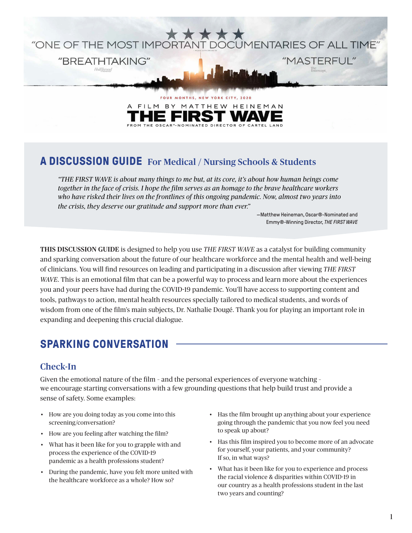

THE OSCAR®-NOMINATED DIRECTOR OF CARTEL LAND

# **A DISCUSSION GUIDE** For Medical / Nursing Schools & Students

*"THE FIRST WAVE is about many things to me but, at its core, it's about how human beings come together in the face of crisis. I hope the film serves as an homage to the brave healthcare workers who have risked their lives on the frontlines of this ongoing pandemic. Now, almost two years into the crisis, they deserve our gratitude and support more than ever."*

> —Matthew Heineman, Oscar®-Nominated and Emmy®-Winning Director, *THE FIRST WAVE*

THIS DISCUSSION GUIDE is designed to help you use *THE FIRST WAVE* as a catalyst for building community and sparking conversation about the future of our healthcare workforce and the mental health and well-being of clinicians. You will find resources on leading and participating in a discussion after viewing *THE FIRST WAVE*. This is an emotional film that can be a powerful way to process and learn more about the experiences you and your peers have had during the COVID-19 pandemic. You'll have access to supporting content and tools, pathways to action, mental health resources specially tailored to medical students, and words of wisdom from one of the film's main subjects, Dr. Nathalie Dougé. Thank you for playing an important role in expanding and deepening this crucial dialogue.

## **SPARKING CONVERSATION**

#### Check-In

Given the emotional nature of the film – and the personal experiences of everyone watching – we encourage starting conversations with a few grounding questions that help build trust and provide a sense of safety. Some examples:

- How are you doing today as you come into this screening/conversation?
- How are you feeling after watching the film?
- What has it been like for you to grapple with and process the experience of the COVID-19 pandemic as a health professions student?
- During the pandemic, have you felt more united with the healthcare workforce as a whole? How so?
- Has the film brought up anything about your experience going through the pandemic that you now feel you need to speak up about?
- Has this film inspired you to become more of an advocate for yourself, your patients, and your community? If so, in what ways?
- What has it been like for you to experience and process the racial violence & disparities within COVID-19 in our country as a health professions student in the last two years and counting?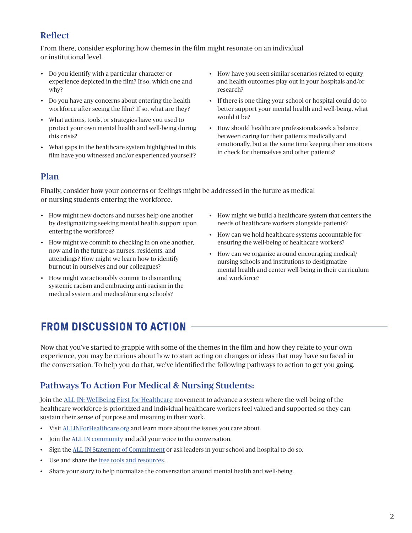## Reflect

From there, consider exploring how themes in the film might resonate on an individual or institutional level.

- Do you identify with a particular character or experience depicted in the film? If so, which one and why?
- Do you have any concerns about entering the health workforce after seeing the film? If so, what are they?
- What actions, tools, or strategies have you used to protect your own mental health and well-being during this crisis?
- What gaps in the healthcare system highlighted in this film have you witnessed and/or experienced yourself?
- How have you seen similar scenarios related to equity and health outcomes play out in your hospitals and/or research?
- If there is one thing your school or hospital could do to better support your mental health and well-being, what would it be?
- How should healthcare professionals seek a balance between caring for their patients medically and emotionally, but at the same time keeping their emotions in check for themselves and other patients?

#### Plan

Finally, consider how your concerns or feelings might be addressed in the future as medical or nursing students entering the workforce.

- How might new doctors and nurses help one another by destigmatizing seeking mental health support upon entering the workforce?
- How might we commit to checking in on one another, now and in the future as nurses, residents, and attendings? How might we learn how to identify burnout in ourselves and our colleagues?
- How might we actionably commit to dismantling systemic racism and embracing anti-racism in the medical system and medical/nursing schools?
- How might we build a healthcare system that centers the needs of healthcare workers alongside patients?
- How can we hold healthcare systems accountable for ensuring the well-being of healthcare workers?
- How can we organize around encouraging medical/ nursing schools and institutions to destigmatize mental health and center well-being in their curriculum and workforce?

# **FROM DISCUSSION TO ACTION**

Now that you've started to grapple with some of the themes in the film and how they relate to your own experience, you may be curious about how to start acting on changes or ideas that may have surfaced in the conversation. To help you do that, we've identified the following pathways to action to get you going.

### Pathways To Action For Medical & Nursing Students:

Join the [ALL IN: WellBeing First for Healthcare](https://www.allinforhealthcare.org/) movement to advance a system where the well-being of the healthcare workforce is prioritized and individual healthcare workers feel valued and supported so they can sustain their sense of purpose and meaning in their work.

- Visit [ALLINForHealthcare.org](http://ALLINForHealthcare.org) and learn more about the issues you care about.
- Join the **ALL IN** community and add your voice to the conversation.
- Sign the [ALL IN Statement of Commitment](https://www.allinforhealthcare.org/articles/43-sign-statement-commitment) or ask leaders in your school and hospital to do so.
- Use and share the [free tools and resources.](https://www.allinforhealthcare.org/profiles/resilience-library)
- Share your story to help normalize the conversation around mental health and well-being.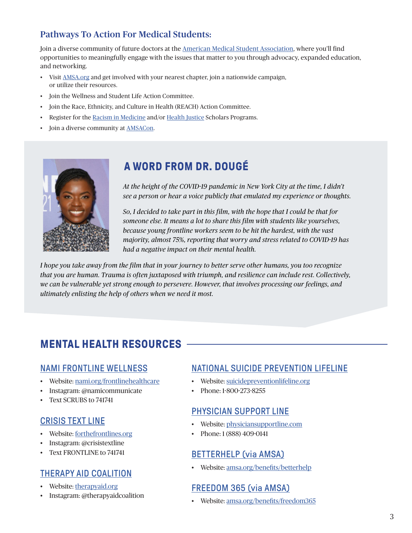## Pathways To Action For Medical Students:

Join a diverse community of future doctors at the [American Medical Student Association](https://www.amsa.org/), where you'll find opportunities to meaningfully engage with the issues that matter to you through advocacy, expanded education, and networking.

- Visit [AMSA.org](http://AMSA.org) and get involved with your nearest chapter, join a nationwide campaign, or utilize their resources.
- Join the Wellness and Student Life Action Committee.
- Join the Race, Ethnicity, and Culture in Health (REACH) Action Committee.
- Register for the [Racism in Medicine](https://www.amsa.org/scholars-programs/racism-in-medicine/) and/or [Health Justice](https://www.amsa.org/scholars-programs/health-justice/) Scholars Programs.
- Join a diverse community at [AMSACon](https://amsaconvention.org/).



## **A WORD FROM DR. DOUGE**

*At the height of the COVID-19 pandemic in New York City at the time, I didn't see a person or hear a voice publicly that emulated my experience or thoughts.*

*So, I decided to take part in this film, with the hope that I could be that for someone else. It means a lot to share this film with students like yourselves, because young frontline workers seem to be hit the hardest, with the vast majority, almost 75%, reporting that worry and stress related to COVID-19 has had a negative impact on their mental health.*

*. I hope you take away from the film that in your journey to better serve other humans, you too recognize that you are human. Trauma is often juxtaposed with triumph, and resilience can include rest. Collectively, we can be vulnerable yet strong enough to persevere. However, that involves processing our feelings, and ultimately enlisting the help of others when we need it most.*

# **MENTAL HEALTH RESOURCES**

#### [NAMI FRONTLINE WELLNESS](http://www.nami.org)

- Website: [nami.org/frontlinehealthcare](http://www.nami.org/frontlinehealthcare )
- Instagram: @namicommunicate
- Text SCRUBS to 741741

#### [CRISIS TEXT LINE](https://www.forthefrontlines.org/)

- Website: [forthefrontlines.org](http://forthefrontlines.org)
- Instagram: @crisistextline
- Text FRONTLINE to 741741

## [THERAPY AID COALITION](http://www.therapyaid.org/)

- Website: [therapyaid.org](http://therapyaid.org)
- Instagram: @therapyaidcoalition

#### [NATIONAL SUICIDE PREVENTION LIFELINE](https://suicidepreventionlifeline.org/)

- Website: [suicidepreventionlifeline.org](http://suicidepreventionlifeline.org)
- Phone: 1-800-273-8255

#### [PHYSICIAN SUPPORT LINE](https://www.physiciansupportline.com/)

- Website: [physiciansupportline.com](http://physiciansupportline.com)
- Phone: 1 (888) 409-0141

### [BETTERHELP \(via AMSA\)](https://www.amsa.org)

• Website: [amsa.org/benefits/betterhelp](http://amsa.org/benefits/betterhelp/)

### [FREEDOM 365 \(via AMSA\)](https://www.amsa.org)

• Website: [amsa.org/benefits/freedom365](http://amsa.org/benefits/freedom365/)